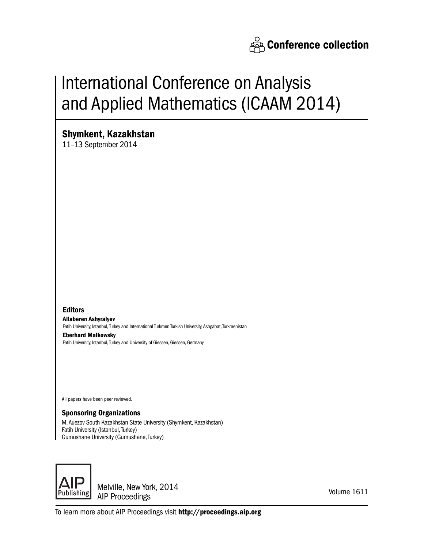

# International Conference on Analysis and Applied Mathematics (ICAAM 2014)

# Shymkent, Kazakhstan

11–13 September 2014

Editors Allaberen Ashyralyev Fatih University, Istanbul, Turkey and International Turkmen Turkish University, Ashgabat, Turkmenistan Eberhard Malkowsky

Fatih University, Istanbul, Turkey and University of Giessen, Giessen, Germany

All papers have been peer reviewed.

### Sponsoring Organizations

M. Auezov South Kazakhstan State University (Shymkent, Kazakhstan) Fatih University (Istanbul, Turkey) Gumushane University (Gumushane, Turkey)



Melville, New York, 2014 AIP Proceedings

Volume 1611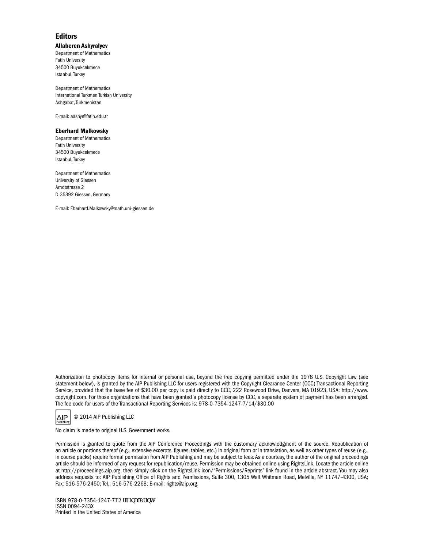#### **Editors**

#### Allaberen Ashyralyev

Department of Mathematics Fatih University 34500 Buyukcekmece Istanbul, Turkey

Department of Mathematics International Turkmen Turkish University Ashgabat, Turkmenistan

E-mail: aashyr@fatih.edu.tr

#### Eberhard Malkowsky

Department of Mathematics Fatih University 34500 Buyukcekmece Istanbul, Turkey

Department of Mathematics University of Giessen Arndtstrasse 2 D-35392 Giessen, Germany

E-mail: Eberhard.Malkowsky@math.uni-giessen.de

Authorization to photocopy items for internal or personal use, beyond the free copying permitted under the 1978 U.S. Copyright Law (see statement below), is granted by the AIP Publishing LLC for users registered with the Copyright Clearance Center (CCC) Transactional Reporting Service, provided that the base fee of \$30.00 per copy is paid directly to CCC, 222 Rosewood Drive, Danvers, MA 01923, USA: http://www. copyright.com. For those organizations that have been granted a photocopy license by CCC, a separate system of payment has been arranged. The fee code for users of the Transactional Reporting Services is: 978-0-7354-1247-7/14/\$30.00

© 2014 AIP Publishing LLC AIP.

No claim is made to original U.S. Government works.

Permission is granted to quote from the AIP Conference Proceedings with the customary acknowledgment of the source. Republication of an article or portions thereof (e.g., extensive excerpts, figures, tables, etc.) in original form or in translation, as well as other types of reuse (e.g., in course packs) require formal permission from AIP Publishing and may be subject to fees. As a courtesy, the author of the original proceedings article should be informed of any request for republication/reuse. Permission may be obtained online using RightsLink. Locate the article online at http://proceedings.aip.org, then simply click on the RightsLink icon/"Permissions/Reprints" link found in the article abstract. You may also address requests to: AIP Publishing Office of Rights and Permissions, Suite 300, 1305 Walt Whitman Road, Melville, NY 11747-4300, USA; Fax: 516-576-2450; Tel.: 516-576-2268; E-mail: rights@aip.org.

ISBN 978-0-7354-1247-7<sup>19</sup>Qtki kpcnRtkpv+ ISSN 0094-243X Printed in the United States of America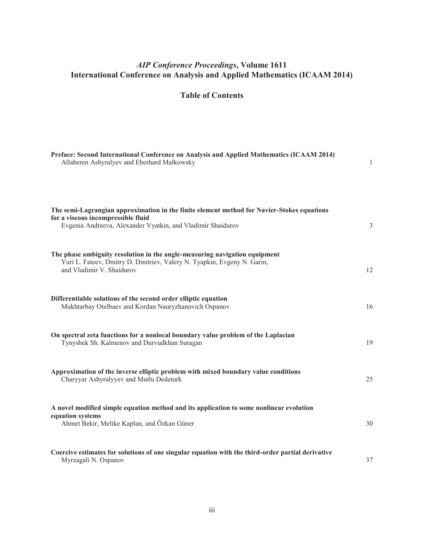## *AIP Conference Proceedings***, Volume 1611 International Conference on Analysis and Applied Mathematics (ICAAM 2014)**

**Table of Contents** 

| Preface: Second International Conference on Analysis and Applied Mathematics (ICAAM 2014)<br>Allaberen Ashyralyev and Eberhard Malkowsky                                                        | $\mathbf{1}$   |
|-------------------------------------------------------------------------------------------------------------------------------------------------------------------------------------------------|----------------|
| The semi-Lagrangian approximation in the finite element method for Navier-Stokes equations<br>for a viscous incompressible fluid<br>Evgenia Andreeva, Alexander Vyatkin, and Vladimir Shaidurov | $\overline{3}$ |
| The phase ambiguity resolution in the angle-measuring navigation equipment<br>Yuri L. Fateev, Dmitry D. Dmitriev, Valery N. Tyapkin, Evgeny N. Garin,<br>and Vladimir V. Shaidurov              | 12             |
| Differentiable solutions of the second order elliptic equation<br>Mukhtarbay Otelbaev and Kordan Nauryzhanovich Ospanov                                                                         | 16             |
| On spectral zeta functions for a nonlocal boundary value problem of the Laplacian<br>Tynysbek Sh. Kalmenov and Durvudkhan Suragan                                                               | 19             |
| Approximation of the inverse elliptic problem with mixed boundary value conditions<br>Charyyar Ashyralyyev and Mutlu Dedeturk                                                                   | 25             |
| A novel modified simple equation method and its application to some nonlinear evolution<br>equation systems<br>Ahmet Bekir, Melike Kaplan, and Özkan Güner                                      | 30             |
| Coercive estimates for solutions of one singular equation with the third-order partial derivative<br>Myrzagali N. Ospanov                                                                       | 37             |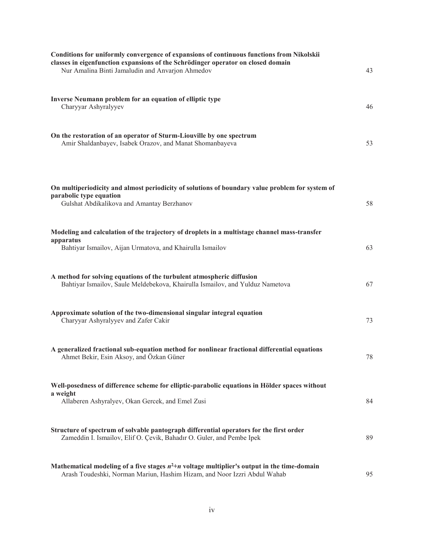| Conditions for uniformly convergence of expansions of continuous functions from Nikolskii<br>classes in eigenfunction expansions of the Schrödinger operator on closed domain<br>Nur Amalina Binti Jamaludin and Anvarjon Ahmedov | 43 |
|-----------------------------------------------------------------------------------------------------------------------------------------------------------------------------------------------------------------------------------|----|
| Inverse Neumann problem for an equation of elliptic type<br>Charyyar Ashyralyyev                                                                                                                                                  | 46 |
| On the restoration of an operator of Sturm-Liouville by one spectrum<br>Amir Shaldanbayev, Isabek Orazov, and Manat Shomanbayeva                                                                                                  | 53 |
| On multiperiodicity and almost periodicity of solutions of boundary value problem for system of<br>parabolic type equation<br>Gulshat Abdikalikova and Amantay Berzhanov                                                          | 58 |
| Modeling and calculation of the trajectory of droplets in a multistage channel mass-transfer<br>apparatus<br>Bahtiyar Ismailov, Aijan Urmatova, and Khairulla Ismailov                                                            | 63 |
| A method for solving equations of the turbulent atmospheric diffusion<br>Bahtiyar Ismailov, Saule Meldebekova, Khairulla Ismailov, and Yulduz Nametova                                                                            | 67 |
| Approximate solution of the two-dimensional singular integral equation<br>Charyyar Ashyralyyev and Zafer Cakir                                                                                                                    | 73 |
| A generalized fractional sub-equation method for nonlinear fractional differential equations<br>Ahmet Bekir, Esin Aksoy, and Özkan Güner                                                                                          | 78 |
| Well-posedness of difference scheme for elliptic-parabolic equations in Hölder spaces without<br>a weight<br>Allaberen Ashyralyev, Okan Gercek, and Emel Zusi                                                                     | 84 |
| Structure of spectrum of solvable pantograph differential operators for the first order<br>Zameddin I. Ismailov, Elif O. Çevik, Bahadır O. Guler, and Pembe Ipek                                                                  | 89 |
| Mathematical modeling of a five stages $n^2+n$ voltage multiplier's output in the time-domain<br>Arash Toudeshki, Norman Mariun, Hashim Hizam, and Noor Izzri Abdul Wahab                                                         | 95 |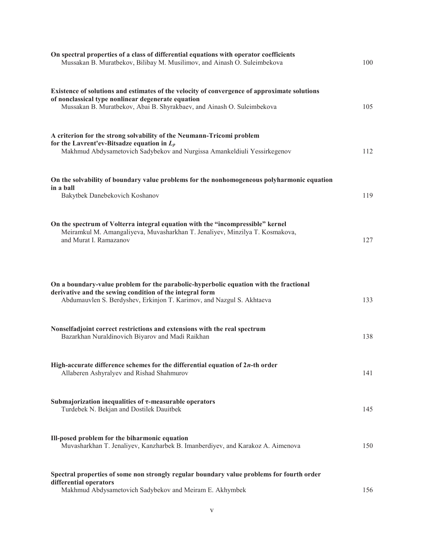| On spectral properties of a class of differential equations with operator coefficients<br>Mussakan B. Muratbekov, Bilibay M. Musilimov, and Ainash O. Suleimbekova                                                           | 100 |
|------------------------------------------------------------------------------------------------------------------------------------------------------------------------------------------------------------------------------|-----|
| Existence of solutions and estimates of the velocity of convergence of approximate solutions<br>of nonclassical type nonlinear degenerate equation<br>Mussakan B. Muratbekov, Abai B. Shyrakbaev, and Ainash O. Suleimbekova | 105 |
| A criterion for the strong solvability of the Neumann-Tricomi problem<br>for the Lavrent'ev-Bitsadze equation in $L_p$<br>Makhmud Abdysametovich Sadybekov and Nurgissa Amankeldiuli Yessirkegenov                           | 112 |
| On the solvability of boundary value problems for the nonhomogeneous polyharmonic equation<br>in a ball<br>Bakytbek Danebekovich Koshanov                                                                                    | 119 |
| On the spectrum of Volterra integral equation with the "incompressible" kernel<br>Meiramkul M. Amangaliyeva, Muvasharkhan T. Jenaliyev, Minzilya T. Kosmakova,<br>and Murat I. Ramazanov                                     | 127 |
| On a boundary-value problem for the parabolic-hyperbolic equation with the fractional<br>derivative and the sewing condition of the integral form<br>Abdumauvlen S. Berdyshev, Erkinjon T. Karimov, and Nazgul S. Akhtaeva   | 133 |
| Nonselfadjoint correct restrictions and extensions with the real spectrum<br>Bazarkhan Nuraldinovich Biyarov and Madi Raikhan                                                                                                | 138 |
| High-accurate difference schemes for the differential equation of $2n$ -th order<br>Allaberen Ashyralyev and Rishad Shahmurov                                                                                                | 141 |
| Submajorization inequalities of $\tau$ -measurable operators<br>Turdebek N. Bekjan and Dostilek Dauitbek                                                                                                                     | 145 |
| Ill-posed problem for the biharmonic equation<br>Muvasharkhan T. Jenaliyev, Kanzharbek B. Imanberdiyev, and Karakoz A. Aimenova                                                                                              | 150 |
| Spectral properties of some non strongly regular boundary value problems for fourth order<br>differential operators<br>Makhmud Abdysametovich Sadybekov and Meiram E. Akhymbek                                               | 156 |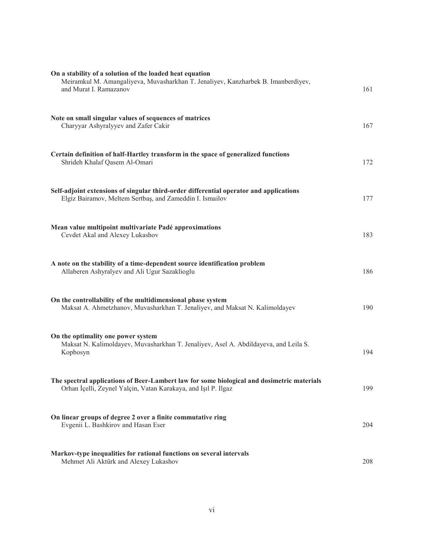| On a stability of a solution of the loaded heat equation<br>Meiramkul M. Amangaliyeva, Muvasharkhan T. Jenaliyev, Kanzharbek B. Imanberdiyev,<br>and Murat I. Ramazanov | 161 |
|-------------------------------------------------------------------------------------------------------------------------------------------------------------------------|-----|
| Note on small singular values of sequences of matrices<br>Charyyar Ashyralyyev and Zafer Cakir                                                                          | 167 |
| Certain definition of half-Hartley transform in the space of generalized functions<br>Shrideh Khalaf Qasem Al-Omari                                                     | 172 |
| Self-adjoint extensions of singular third-order differential operator and applications<br>Elgiz Bairamov, Meltem Sertbaş, and Zameddin I. Ismailov                      | 177 |
| Mean value multipoint multivariate Padé approximations<br>Cevdet Akal and Alexey Lukashov                                                                               | 183 |
| A note on the stability of a time-dependent source identification problem<br>Allaberen Ashyralyev and Ali Ugur Sazaklioglu                                              | 186 |
| On the controllability of the multidimensional phase system<br>Maksat A. Ahmetzhanov, Muvasharkhan T. Jenaliyev, and Maksat N. Kalimoldayev                             | 190 |
| On the optimality one power system<br>Maksat N. Kalimoldayev, Muvasharkhan T. Jenaliyev, Asel A. Abdildayeva, and Leila S.<br>Kopbosyn                                  | 194 |
| The spectral applications of Beer-Lambert law for some biological and dosimetric materials<br>Orhan İçelli, Zeynel Yalçin, Vatan Karakaya, and Işıl P. Ilgaz            | 199 |
| On linear groups of degree 2 over a finite commutative ring<br>Evgenii L. Bashkirov and Hasan Eser                                                                      | 204 |
| Markov-type inequalities for rational functions on several intervals<br>Mehmet Ali Aktürk and Alexey Lukashov                                                           | 208 |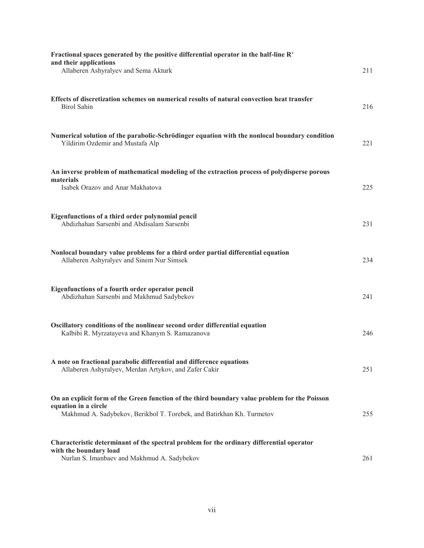| Fractional spaces generated by the positive differential operator in the half-line $R^+$<br>and their applications<br>Allaberen Ashyralyev and Sema Akturk                                     | 211 |
|------------------------------------------------------------------------------------------------------------------------------------------------------------------------------------------------|-----|
| Effects of discretization schemes on numerical results of natural convection heat transfer<br><b>Birol Sahin</b>                                                                               | 216 |
| Numerical solution of the parabolic-Schrödinger equation with the nonlocal boundary condition<br>Yildirim Ozdemir and Mustafa Alp                                                              | 221 |
| An inverse problem of mathematical modeling of the extraction process of polydisperse porous<br>materials<br>Isabek Orazov and Anar Makhatova                                                  | 225 |
| Eigenfunctions of a third order polynomial pencil<br>Abdizhahan Sarsenbi and Abdisalam Sarsenbi                                                                                                | 231 |
| Nonlocal boundary value problems for a third order partial differential equation<br>Allaberen Ashyralyev and Sinem Nur Simsek                                                                  | 234 |
| Eigenfunctions of a fourth order operator pencil<br>Abdizhahan Sarsenbi and Makhmud Sadybekov                                                                                                  | 241 |
| Oscillatory conditions of the nonlinear second order differential equation<br>Kalbibi R. Myrzatayeva and Khanym S. Ramazanova                                                                  | 246 |
| A note on fractional parabolic differential and difference equations<br>Allaberen Ashyralyev, Merdan Artykov, and Zafer Cakir                                                                  | 251 |
| On an explicit form of the Green function of the third boundary value problem for the Poisson<br>equation in a circle<br>Makhmud A. Sadybekov, Berikbol T. Torebek, and Batirkhan Kh. Turmetov | 255 |
| Characteristic determinant of the spectral problem for the ordinary differential operator<br>with the boundary load<br>Nurlan S. Imanbaev and Makhmud A. Sadybekov                             | 261 |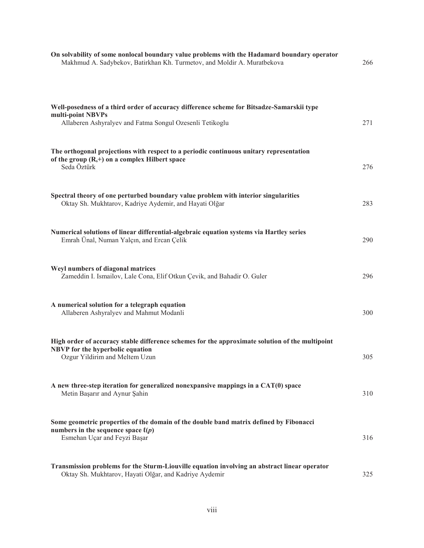| On solvability of some nonlocal boundary value problems with the Hadamard boundary operator<br>Makhmud A. Sadybekov, Batirkhan Kh. Turmetov, and Moldir A. Muratbekova     | 266 |
|----------------------------------------------------------------------------------------------------------------------------------------------------------------------------|-----|
| Well-posedness of a third order of accuracy difference scheme for Bitsadze-Samarskii type<br>multi-point NBVPs<br>Allaberen Ashyralyev and Fatma Songul Ozesenli Tetikoglu | 271 |
| The orthogonal projections with respect to a periodic continuous unitary representation<br>of the group $(R,+)$ on a complex Hilbert space<br>Seda Öztürk                  | 276 |
| Spectral theory of one perturbed boundary value problem with interior singularities<br>Oktay Sh. Mukhtarov, Kadriye Aydemir, and Hayati Olğar                              | 283 |
| Numerical solutions of linear differential-algebraic equation systems via Hartley series<br>Emrah Ünal, Numan Yalçın, and Ercan Çelik                                      | 290 |
| Weyl numbers of diagonal matrices<br>Zameddin I. Ismailov, Lale Cona, Elif Otkun Çevik, and Bahadir O. Guler                                                               | 296 |
| A numerical solution for a telegraph equation<br>Allaberen Ashyralyev and Mahmut Modanli                                                                                   | 300 |
| High order of accuracy stable difference schemes for the approximate solution of the multipoint<br>NBVP for the hyperbolic equation<br>Ozgur Yildirim and Meltem Uzun      | 305 |
| A new three-step iteration for generalized nonexpansive mappings in a CAT(0) space<br>Metin Başarır and Aynur Şahin                                                        | 310 |
| Some geometric properties of the domain of the double band matrix defined by Fibonacci<br>numbers in the sequence space $\ell(p)$<br>Esmehan Uçar and Feyzi Başar          | 316 |
| Transmission problems for the Sturm-Liouville equation involving an abstract linear operator<br>Oktay Sh. Mukhtarov, Hayati Olğar, and Kadriye Aydemir                     | 325 |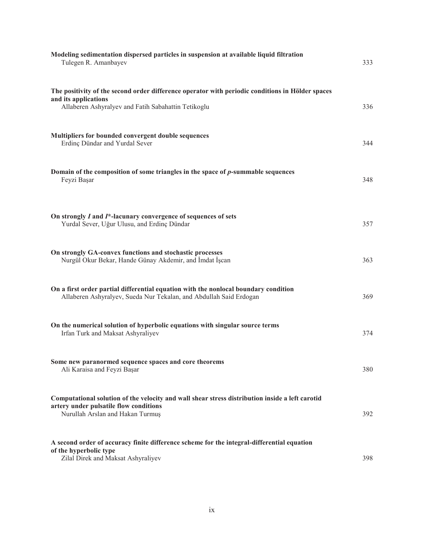| Modeling sedimentation dispersed particles in suspension at available liquid filtration<br>Tulegen R. Amanbayev                                                                 | 333 |
|---------------------------------------------------------------------------------------------------------------------------------------------------------------------------------|-----|
| The positivity of the second order difference operator with periodic conditions in Hölder spaces<br>and its applications<br>Allaberen Ashyralyev and Fatih Sabahattin Tetikoglu | 336 |
| Multipliers for bounded convergent double sequences<br>Erdinç Dündar and Yurdal Sever                                                                                           | 344 |
| Domain of the composition of some triangles in the space of p-summable sequences<br>Feyzi Başar                                                                                 | 348 |
| On strongly I and I*-lacunary convergence of sequences of sets<br>Yurdal Sever, Uğur Ulusu, and Erdinç Dündar                                                                   | 357 |
| On strongly GA-convex functions and stochastic processes<br>Nurgül Okur Bekar, Hande Günay Akdemir, and İmdat İşcan                                                             | 363 |
| On a first order partial differential equation with the nonlocal boundary condition<br>Allaberen Ashyralyev, Sueda Nur Tekalan, and Abdullah Said Erdogan                       | 369 |
| On the numerical solution of hyperbolic equations with singular source terms<br>Irfan Turk and Maksat Ashyraliyev                                                               | 374 |
| Some new paranormed sequence spaces and core theorems<br>Ali Karaisa and Feyzi Başar                                                                                            | 380 |
| Computational solution of the velocity and wall shear stress distribution inside a left carotid<br>artery under pulsatile flow conditions<br>Nurullah Arslan and Hakan Turmuş   | 392 |
| A second order of accuracy finite difference scheme for the integral-differential equation<br>of the hyperbolic type<br>Zilal Direk and Maksat Ashyraliyev                      | 398 |